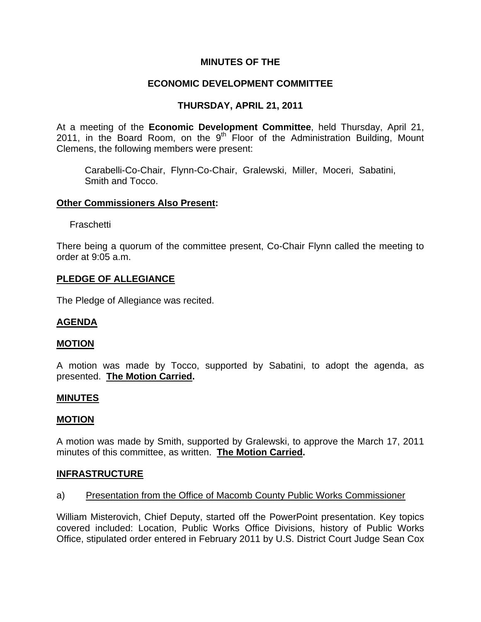## **MINUTES OF THE**

# **ECONOMIC DEVELOPMENT COMMITTEE**

# **THURSDAY, APRIL 21, 2011**

At a meeting of the **Economic Development Committee**, held Thursday, April 21, 2011, in the Board Room, on the  $9<sup>th</sup>$  Floor of the Administration Building, Mount Clemens, the following members were present:

Carabelli-Co-Chair, Flynn-Co-Chair, Gralewski, Miller, Moceri, Sabatini, Smith and Tocco.

### **Other Commissioners Also Present:**

Fraschetti

There being a quorum of the committee present, Co-Chair Flynn called the meeting to order at 9:05 a.m.

#### **PLEDGE OF ALLEGIANCE**

The Pledge of Allegiance was recited.

#### **AGENDA**

#### **MOTION**

A motion was made by Tocco, supported by Sabatini, to adopt the agenda, as presented. **The Motion Carried.** 

#### **MINUTES**

#### **MOTION**

A motion was made by Smith, supported by Gralewski, to approve the March 17, 2011 minutes of this committee, as written. **The Motion Carried.** 

#### **INFRASTRUCTURE**

#### a) Presentation from the Office of Macomb County Public Works Commissioner

William Misterovich, Chief Deputy, started off the PowerPoint presentation. Key topics covered included: Location, Public Works Office Divisions, history of Public Works Office, stipulated order entered in February 2011 by U.S. District Court Judge Sean Cox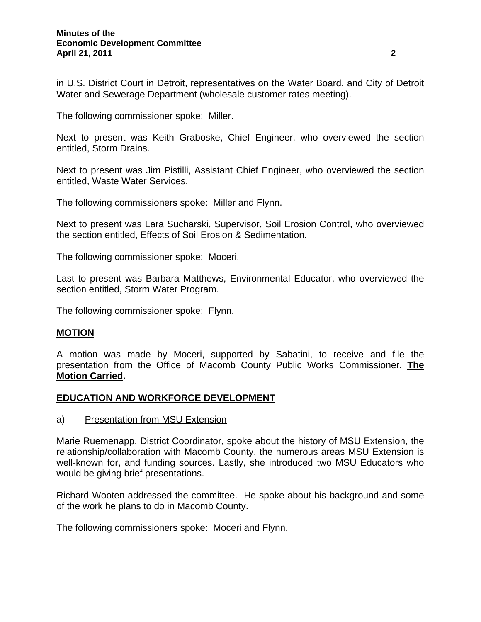in U.S. District Court in Detroit, representatives on the Water Board, and City of Detroit Water and Sewerage Department (wholesale customer rates meeting).

The following commissioner spoke: Miller.

Next to present was Keith Graboske, Chief Engineer, who overviewed the section entitled, Storm Drains.

Next to present was Jim Pistilli, Assistant Chief Engineer, who overviewed the section entitled, Waste Water Services.

The following commissioners spoke: Miller and Flynn.

Next to present was Lara Sucharski, Supervisor, Soil Erosion Control, who overviewed the section entitled, Effects of Soil Erosion & Sedimentation.

The following commissioner spoke: Moceri.

Last to present was Barbara Matthews, Environmental Educator, who overviewed the section entitled, Storm Water Program.

The following commissioner spoke: Flynn.

#### **MOTION**

A motion was made by Moceri, supported by Sabatini, to receive and file the presentation from the Office of Macomb County Public Works Commissioner. **The Motion Carried.** 

### **EDUCATION AND WORKFORCE DEVELOPMENT**

a) Presentation from MSU Extension

Marie Ruemenapp, District Coordinator, spoke about the history of MSU Extension, the relationship/collaboration with Macomb County, the numerous areas MSU Extension is well-known for, and funding sources. Lastly, she introduced two MSU Educators who would be giving brief presentations.

Richard Wooten addressed the committee. He spoke about his background and some of the work he plans to do in Macomb County.

The following commissioners spoke: Moceri and Flynn.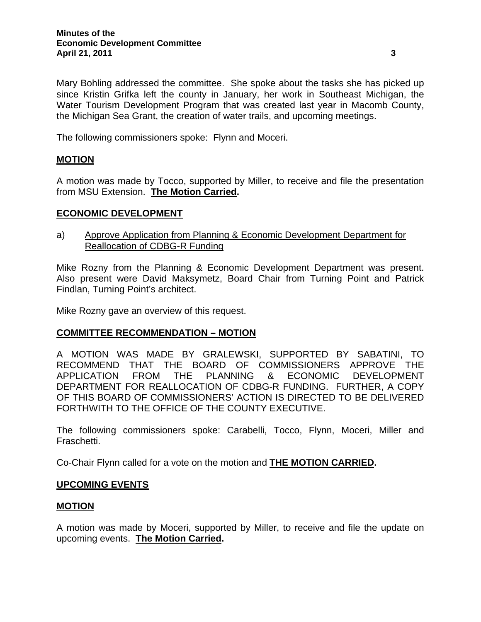Mary Bohling addressed the committee. She spoke about the tasks she has picked up since Kristin Grifka left the county in January, her work in Southeast Michigan, the Water Tourism Development Program that was created last year in Macomb County, the Michigan Sea Grant, the creation of water trails, and upcoming meetings.

The following commissioners spoke: Flynn and Moceri.

# **MOTION**

A motion was made by Tocco, supported by Miller, to receive and file the presentation from MSU Extension. **The Motion Carried.** 

### **ECONOMIC DEVELOPMENT**

a) Approve Application from Planning & Economic Development Department for Reallocation of CDBG-R Funding

Mike Rozny from the Planning & Economic Development Department was present. Also present were David Maksymetz, Board Chair from Turning Point and Patrick Findlan, Turning Point's architect.

Mike Rozny gave an overview of this request.

## **COMMITTEE RECOMMENDATION – MOTION**

A MOTION WAS MADE BY GRALEWSKI, SUPPORTED BY SABATINI, TO RECOMMEND THAT THE BOARD OF COMMISSIONERS APPROVE THE APPLICATION FROM THE PLANNING & ECONOMIC DEVELOPMENT DEPARTMENT FOR REALLOCATION OF CDBG-R FUNDING. FURTHER, A COPY OF THIS BOARD OF COMMISSIONERS' ACTION IS DIRECTED TO BE DELIVERED FORTHWITH TO THE OFFICE OF THE COUNTY EXECUTIVE.

The following commissioners spoke: Carabelli, Tocco, Flynn, Moceri, Miller and Fraschetti.

Co-Chair Flynn called for a vote on the motion and **THE MOTION CARRIED.** 

#### **UPCOMING EVENTS**

#### **MOTION**

A motion was made by Moceri, supported by Miller, to receive and file the update on upcoming events. **The Motion Carried.**